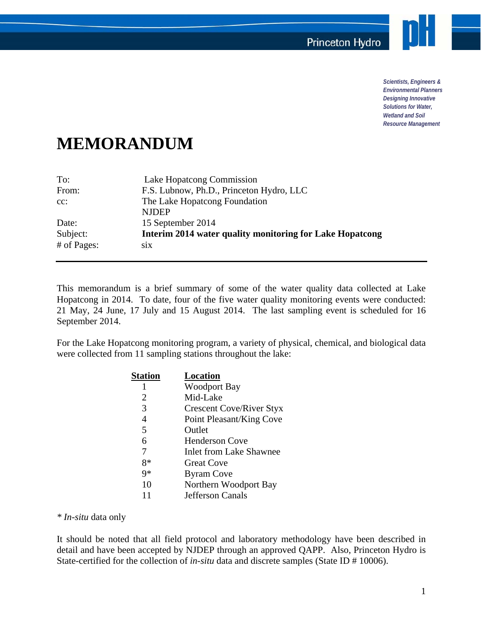

*Scientists, Engineers & Environmental Planners Designing Innovative Solutions for Water, Wetland and Soil Resource Management* 

## **MEMORANDUM**

| To:         | Lake Hopatcong Commission                                |  |  |  |
|-------------|----------------------------------------------------------|--|--|--|
| From:       | F.S. Lubnow, Ph.D., Princeton Hydro, LLC                 |  |  |  |
| $cc$ :      | The Lake Hopatcong Foundation                            |  |  |  |
|             | <b>NJDEP</b>                                             |  |  |  |
| Date:       | 15 September 2014                                        |  |  |  |
| Subject:    | Interim 2014 water quality monitoring for Lake Hopatcong |  |  |  |
| # of Pages: | S1X                                                      |  |  |  |

This memorandum is a brief summary of some of the water quality data collected at Lake Hopatcong in 2014. To date, four of the five water quality monitoring events were conducted: 21 May, 24 June, 17 July and 15 August 2014. The last sampling event is scheduled for 16 September 2014.

For the Lake Hopatcong monitoring program, a variety of physical, chemical, and biological data were collected from 11 sampling stations throughout the lake:

| Station | <b>Location</b>                 |
|---------|---------------------------------|
| 1       | <b>Woodport Bay</b>             |
| 2       | Mid-Lake                        |
| 3       | <b>Crescent Cove/River Styx</b> |
| 4       | Point Pleasant/King Cove        |
| 5       | Outlet                          |
| 6       | <b>Henderson Cove</b>           |
| 7       | <b>Inlet from Lake Shawnee</b>  |
| 8*      | <b>Great Cove</b>               |
| 9*      | <b>Byram</b> Cove               |
| 10      | Northern Woodport Bay           |
| 11      | Jefferson Canals                |

*\* In-situ* data only

It should be noted that all field protocol and laboratory methodology have been described in detail and have been accepted by NJDEP through an approved QAPP. Also, Princeton Hydro is State-certified for the collection of *in-situ* data and discrete samples (State ID # 10006).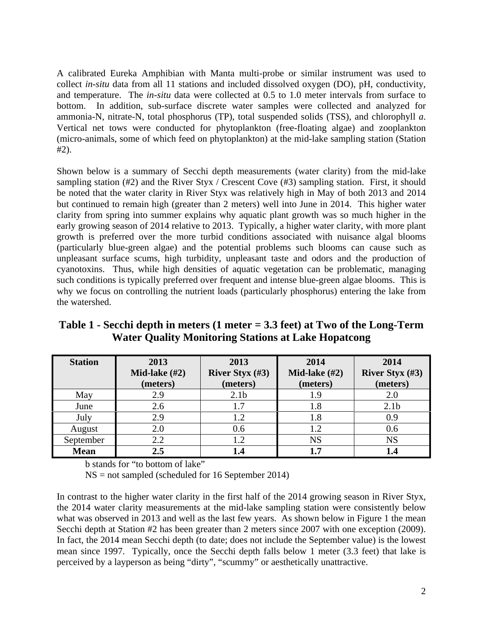A calibrated Eureka Amphibian with Manta multi-probe or similar instrument was used to collect *in-situ* data from all 11 stations and included dissolved oxygen (DO), pH, conductivity, and temperature. The *in-situ* data were collected at 0.5 to 1.0 meter intervals from surface to bottom. In addition, sub-surface discrete water samples were collected and analyzed for ammonia-N, nitrate-N, total phosphorus (TP), total suspended solids (TSS), and chlorophyll *a*. Vertical net tows were conducted for phytoplankton (free-floating algae) and zooplankton (micro-animals, some of which feed on phytoplankton) at the mid-lake sampling station (Station #2).

Shown below is a summary of Secchi depth measurements (water clarity) from the mid-lake sampling station (#2) and the River Styx / Crescent Cove (#3) sampling station. First, it should be noted that the water clarity in River Styx was relatively high in May of both 2013 and 2014 but continued to remain high (greater than 2 meters) well into June in 2014. This higher water clarity from spring into summer explains why aquatic plant growth was so much higher in the early growing season of 2014 relative to 2013. Typically, a higher water clarity, with more plant growth is preferred over the more turbid conditions associated with nuisance algal blooms (particularly blue-green algae) and the potential problems such blooms can cause such as unpleasant surface scums, high turbidity, unpleasant taste and odors and the production of cyanotoxins. Thus, while high densities of aquatic vegetation can be problematic, managing such conditions is typically preferred over frequent and intense blue-green algae blooms. This is why we focus on controlling the nutrient loads (particularly phosphorus) entering the lake from the watershed.

**Table 1 - Secchi depth in meters (1 meter = 3.3 feet) at Two of the Long-Term Water Quality Monitoring Stations at Lake Hopatcong** 

| <b>Station</b> | 2013<br>Mid-lake $(\#2)$ | 2013<br>River Styx $(\#3)$ | 2014<br>Mid-lake $(\#2)$ | 2014<br>River Styx $(\#3)$ |
|----------------|--------------------------|----------------------------|--------------------------|----------------------------|
|                | (meters)                 | (meters)                   | (meters)                 | (meters)                   |
| May            | 2.9                      | 2.1 <sub>b</sub>           | 1.9                      | 2.0                        |
| June           | 2.6                      | 1.7                        | 1.8                      | 2.1 <sub>b</sub>           |
| July           | 2.9                      |                            | 1.8                      | 0.9                        |
| August         | 2.0                      | 0.6                        | 1.2                      | 0.6                        |
| September      | 2.2                      |                            | <b>NS</b>                | <b>NS</b>                  |
| <b>Mean</b>    | 2.5                      |                            | 1.7                      |                            |

b stands for "to bottom of lake"

NS = not sampled (scheduled for 16 September 2014)

In contrast to the higher water clarity in the first half of the 2014 growing season in River Styx, the 2014 water clarity measurements at the mid-lake sampling station were consistently below what was observed in 2013 and well as the last few years. As shown below in Figure 1 the mean Secchi depth at Station #2 has been greater than 2 meters since 2007 with one exception (2009). In fact, the 2014 mean Secchi depth (to date; does not include the September value) is the lowest mean since 1997. Typically, once the Secchi depth falls below 1 meter (3.3 feet) that lake is perceived by a layperson as being "dirty", "scummy" or aesthetically unattractive.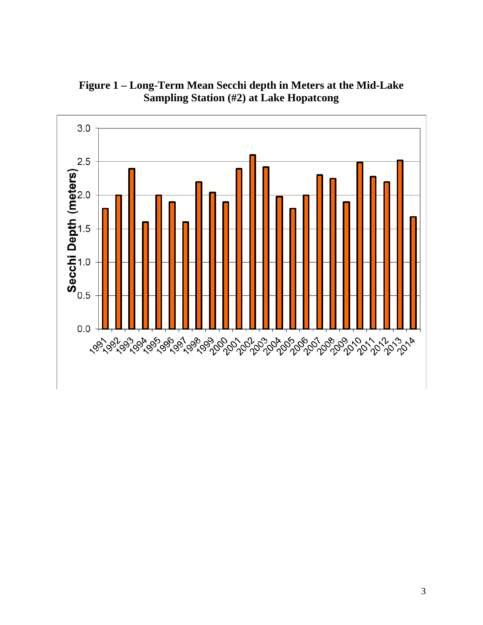

**Figure 1 – Long-Term Mean Secchi depth in Meters at the Mid-Lake Sampling Station (#2) at Lake Hopatcong**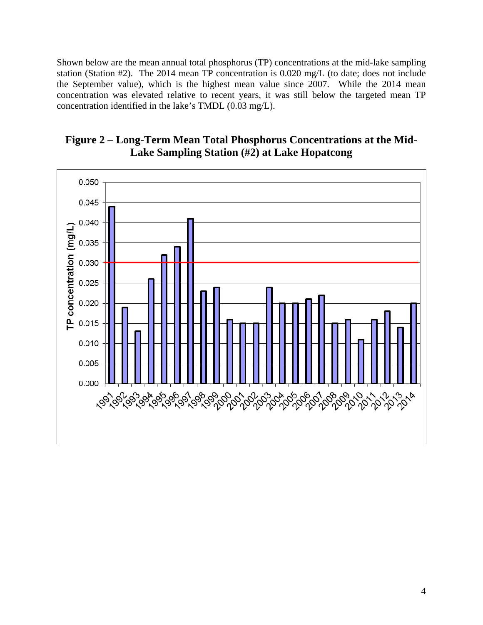Shown below are the mean annual total phosphorus (TP) concentrations at the mid-lake sampling station (Station #2). The 2014 mean TP concentration is 0.020 mg/L (to date; does not include the September value), which is the highest mean value since 2007. While the 2014 mean concentration was elevated relative to recent years, it was still below the targeted mean TP concentration identified in the lake's TMDL (0.03 mg/L).



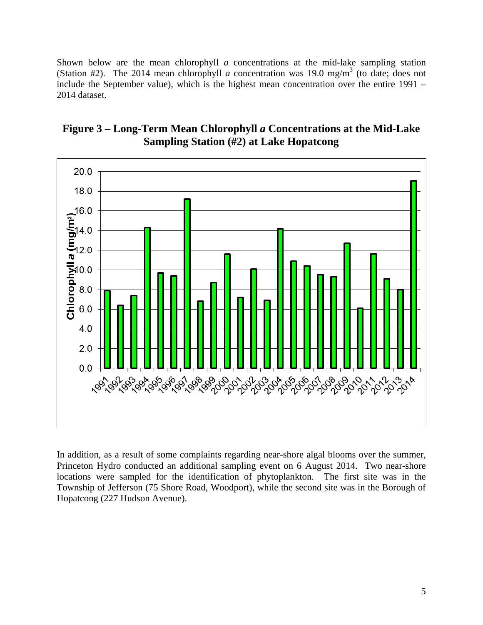Shown below are the mean chlorophyll *a* concentrations at the mid-lake sampling station (Station #2). The 2014 mean chlorophyll *a* concentration was 19.0 mg/m<sup>3</sup> (to date; does not include the September value), which is the highest mean concentration over the entire 1991 – 2014 dataset.



## **Figure 3 – Long-Term Mean Chlorophyll** *a* **Concentrations at the Mid-Lake Sampling Station (#2) at Lake Hopatcong**

In addition, as a result of some complaints regarding near-shore algal blooms over the summer, Princeton Hydro conducted an additional sampling event on 6 August 2014. Two near-shore locations were sampled for the identification of phytoplankton. The first site was in the Township of Jefferson (75 Shore Road, Woodport), while the second site was in the Borough of Hopatcong (227 Hudson Avenue).